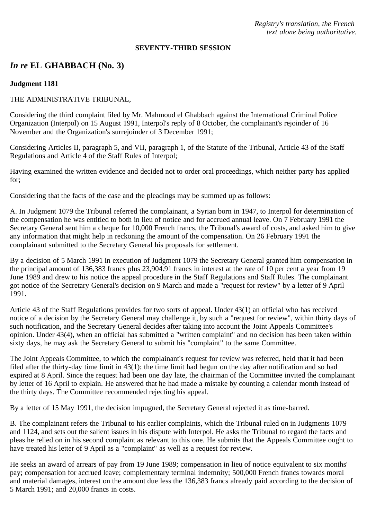*Registry's translation, the French text alone being authoritative.*

#### **SEVENTY-THIRD SESSION**

# *In re* **EL GHABBACH (No. 3)**

### **Judgment 1181**

### THE ADMINISTRATIVE TRIBUNAL,

Considering the third complaint filed by Mr. Mahmoud el Ghabbach against the International Criminal Police Organization (Interpol) on 15 August 1991, Interpol's reply of 8 October, the complainant's rejoinder of 16 November and the Organization's surrejoinder of 3 December 1991;

Considering Articles II, paragraph 5, and VII, paragraph 1, of the Statute of the Tribunal, Article 43 of the Staff Regulations and Article 4 of the Staff Rules of Interpol;

Having examined the written evidence and decided not to order oral proceedings, which neither party has applied for;

Considering that the facts of the case and the pleadings may be summed up as follows:

A. In Judgment 1079 the Tribunal referred the complainant, a Syrian born in 1947, to Interpol for determination of the compensation he was entitled to both in lieu of notice and for accrued annual leave. On 7 February 1991 the Secretary General sent him a cheque for 10,000 French francs, the Tribunal's award of costs, and asked him to give any information that might help in reckoning the amount of the compensation. On 26 February 1991 the complainant submitted to the Secretary General his proposals for settlement.

By a decision of 5 March 1991 in execution of Judgment 1079 the Secretary General granted him compensation in the principal amount of 136,383 francs plus 23,904.91 francs in interest at the rate of 10 per cent a year from 19 June 1989 and drew to his notice the appeal procedure in the Staff Regulations and Staff Rules. The complainant got notice of the Secretary General's decision on 9 March and made a "request for review" by a letter of 9 April 1991.

Article 43 of the Staff Regulations provides for two sorts of appeal. Under 43(1) an official who has received notice of a decision by the Secretary General may challenge it, by such a "request for review", within thirty days of such notification, and the Secretary General decides after taking into account the Joint Appeals Committee's opinion. Under 43(4), when an official has submitted a "written complaint" and no decision has been taken within sixty days, he may ask the Secretary General to submit his "complaint" to the same Committee.

The Joint Appeals Committee, to which the complainant's request for review was referred, held that it had been filed after the thirty-day time limit in 43(1): the time limit had begun on the day after notification and so had expired at 8 April. Since the request had been one day late, the chairman of the Committee invited the complainant by letter of 16 April to explain. He answered that he had made a mistake by counting a calendar month instead of the thirty days. The Committee recommended rejecting his appeal.

By a letter of 15 May 1991, the decision impugned, the Secretary General rejected it as time-barred.

B. The complainant refers the Tribunal to his earlier complaints, which the Tribunal ruled on in Judgments 1079 and 1124, and sets out the salient issues in his dispute with Interpol. He asks the Tribunal to regard the facts and pleas he relied on in his second complaint as relevant to this one. He submits that the Appeals Committee ought to have treated his letter of 9 April as a "complaint" as well as a request for review.

He seeks an award of arrears of pay from 19 June 1989; compensation in lieu of notice equivalent to six months' pay; compensation for accrued leave; complementary terminal indemnity; 500,000 French francs towards moral and material damages, interest on the amount due less the 136,383 francs already paid according to the decision of 5 March 1991; and 20,000 francs in costs.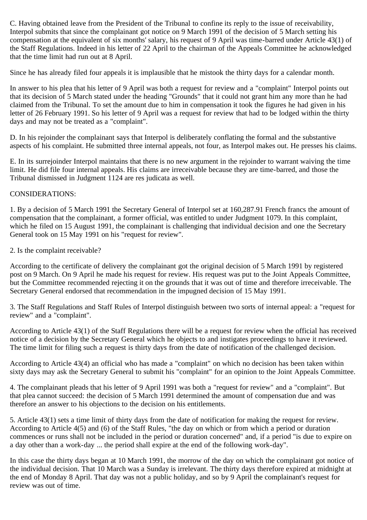C. Having obtained leave from the President of the Tribunal to confine its reply to the issue of receivability, Interpol submits that since the complainant got notice on 9 March 1991 of the decision of 5 March setting his compensation at the equivalent of six months' salary, his request of 9 April was time-barred under Article 43(1) of the Staff Regulations. Indeed in his letter of 22 April to the chairman of the Appeals Committee he acknowledged that the time limit had run out at 8 April.

Since he has already filed four appeals it is implausible that he mistook the thirty days for a calendar month.

In answer to his plea that his letter of 9 April was both a request for review and a "complaint" Interpol points out that its decision of 5 March stated under the heading "Grounds" that it could not grant him any more than he had claimed from the Tribunal. To set the amount due to him in compensation it took the figures he had given in his letter of 26 February 1991. So his letter of 9 April was a request for review that had to be lodged within the thirty days and may not be treated as a "complaint".

D. In his rejoinder the complainant says that Interpol is deliberately conflating the formal and the substantive aspects of his complaint. He submitted three internal appeals, not four, as Interpol makes out. He presses his claims.

E. In its surrejoinder Interpol maintains that there is no new argument in the rejoinder to warrant waiving the time limit. He did file four internal appeals. His claims are irreceivable because they are time-barred, and those the Tribunal dismissed in Judgment 1124 are res judicata as well.

## CONSIDERATIONS:

1. By a decision of 5 March 1991 the Secretary General of Interpol set at 160,287.91 French francs the amount of compensation that the complainant, a former official, was entitled to under Judgment 1079. In this complaint, which he filed on 15 August 1991, the complainant is challenging that individual decision and one the Secretary General took on 15 May 1991 on his "request for review".

2. Is the complaint receivable?

According to the certificate of delivery the complainant got the original decision of 5 March 1991 by registered post on 9 March. On 9 April he made his request for review. His request was put to the Joint Appeals Committee, but the Committee recommended rejecting it on the grounds that it was out of time and therefore irreceivable. The Secretary General endorsed that recommendation in the impugned decision of 15 May 1991.

3. The Staff Regulations and Staff Rules of Interpol distinguish between two sorts of internal appeal: a "request for review" and a "complaint".

According to Article 43(1) of the Staff Regulations there will be a request for review when the official has received notice of a decision by the Secretary General which he objects to and instigates proceedings to have it reviewed. The time limit for filing such a request is thirty days from the date of notification of the challenged decision.

According to Article 43(4) an official who has made a "complaint" on which no decision has been taken within sixty days may ask the Secretary General to submit his "complaint" for an opinion to the Joint Appeals Committee.

4. The complainant pleads that his letter of 9 April 1991 was both a "request for review" and a "complaint". But that plea cannot succeed: the decision of 5 March 1991 determined the amount of compensation due and was therefore an answer to his objections to the decision on his entitlements.

5. Article 43(1) sets a time limit of thirty days from the date of notification for making the request for review. According to Article 4(5) and (6) of the Staff Rules, "the day on which or from which a period or duration commences or runs shall not be included in the period or duration concerned" and, if a period "is due to expire on a day other than a work-day ... the period shall expire at the end of the following work-day".

In this case the thirty days began at 10 March 1991, the morrow of the day on which the complainant got notice of the individual decision. That 10 March was a Sunday is irrelevant. The thirty days therefore expired at midnight at the end of Monday 8 April. That day was not a public holiday, and so by 9 April the complainant's request for review was out of time.